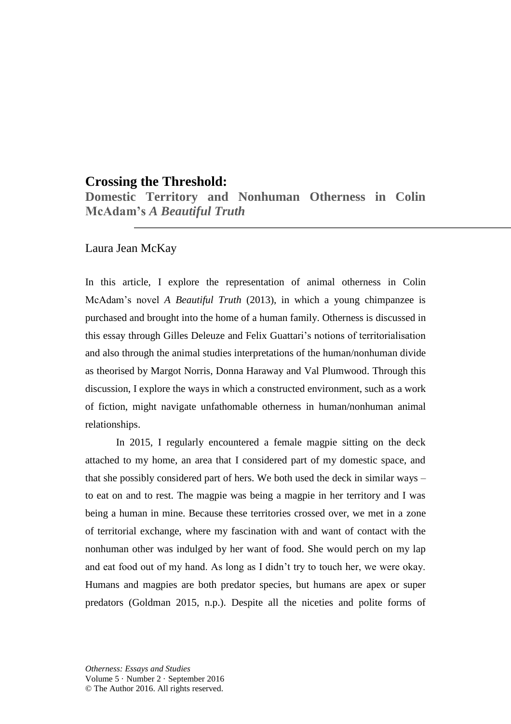# **Crossing the Threshold:**

**Domestic Territory and Nonhuman Otherness in Colin McAdam's** *A Beautiful Truth* 

# Laura Jean McKay

In this article, I explore the representation of animal otherness in Colin McAdam's novel *A Beautiful Truth* (2013), in which a young chimpanzee is purchased and brought into the home of a human family. Otherness is discussed in this essay through Gilles Deleuze and Felix Guattari's notions of territorialisation and also through the animal studies interpretations of the human/nonhuman divide as theorised by Margot Norris, Donna Haraway and Val Plumwood. Through this discussion, I explore the ways in which a constructed environment, such as a work of fiction, might navigate unfathomable otherness in human/nonhuman animal relationships.

In 2015, I regularly encountered a female magpie sitting on the deck attached to my home, an area that I considered part of my domestic space, and that she possibly considered part of hers. We both used the deck in similar ways – to eat on and to rest. The magpie was being a magpie in her territory and I was being a human in mine. Because these territories crossed over, we met in a zone of territorial exchange, where my fascination with and want of contact with the nonhuman other was indulged by her want of food. She would perch on my lap and eat food out of my hand. As long as I didn't try to touch her, we were okay. Humans and magpies are both predator species, but humans are apex or super predators (Goldman 2015, n.p.). Despite all the niceties and polite forms of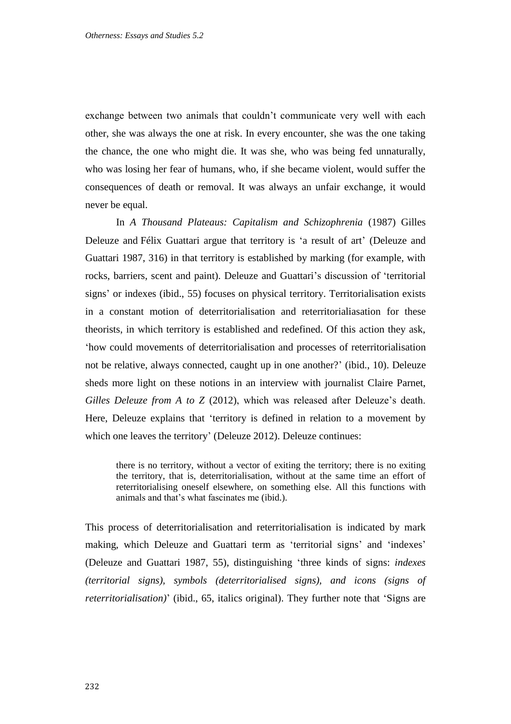exchange between two animals that couldn't communicate very well with each other, she was always the one at risk. In every encounter, she was the one taking the chance, the one who might die. It was she, who was being fed unnaturally, who was losing her fear of humans, who, if she became violent, would suffer the consequences of death or removal. It was always an unfair exchange, it would never be equal.

In *A Thousand Plateaus: Capitalism and Schizophrenia* (1987) Gilles Deleuze and Félix Guattari argue that territory is 'a result of art' (Deleuze and Guattari 1987, 316) in that territory is established by marking (for example, with rocks, barriers, scent and paint). Deleuze and Guattari's discussion of 'territorial signs' or indexes (ibid., 55) focuses on physical territory. Territorialisation exists in a constant motion of deterritorialisation and reterritorialiasation for these theorists, in which territory is established and redefined. Of this action they ask, 'how could movements of deterritorialisation and processes of reterritorialisation not be relative, always connected, caught up in one another?' (ibid., 10). Deleuze sheds more light on these notions in an interview with journalist Claire Parnet, *Gilles Deleuze from A to Z* (2012), which was released after Deleuze's death. Here, Deleuze explains that 'territory is defined in relation to a movement by which one leaves the territory' (Deleuze 2012). Deleuze continues:

there is no territory, without a vector of exiting the territory; there is no exiting the territory, that is, deterritorialisation, without at the same time an effort of reterritorialising oneself elsewhere, on something else. All this functions with animals and that's what fascinates me (ibid.).

This process of deterritorialisation and reterritorialisation is indicated by mark making, which Deleuze and Guattari term as 'territorial signs' and 'indexes' (Deleuze and Guattari 1987, 55), distinguishing 'three kinds of signs: *indexes (territorial signs), symbols (deterritorialised signs), and icons (signs of reterritorialisation)*' (ibid., 65, italics original). They further note that 'Signs are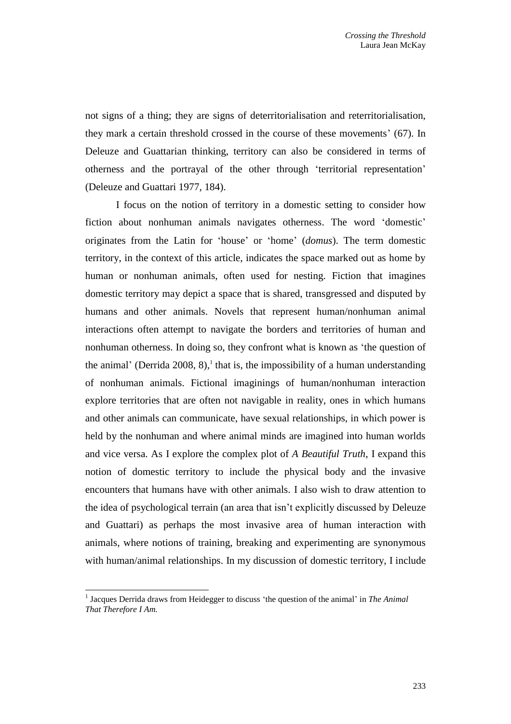not signs of a thing; they are signs of deterritorialisation and reterritorialisation, they mark a certain threshold crossed in the course of these movements' (67). In Deleuze and Guattarian thinking, territory can also be considered in terms of otherness and the portrayal of the other through 'territorial representation' (Deleuze and Guattari 1977, 184).

I focus on the notion of territory in a domestic setting to consider how fiction about nonhuman animals navigates otherness. The word 'domestic' originates from the Latin for 'house' or 'home' (*domus*). The term domestic territory, in the context of this article, indicates the space marked out as home by human or nonhuman animals, often used for nesting. Fiction that imagines domestic territory may depict a space that is shared, transgressed and disputed by humans and other animals. Novels that represent human/nonhuman animal interactions often attempt to navigate the borders and territories of human and nonhuman otherness. In doing so, they confront what is known as 'the question of the animal' (Derrida 2008, 8),<sup>1</sup> that is, the impossibility of a human understanding of nonhuman animals. Fictional imaginings of human/nonhuman interaction explore territories that are often not navigable in reality, ones in which humans and other animals can communicate, have sexual relationships, in which power is held by the nonhuman and where animal minds are imagined into human worlds and vice versa. As I explore the complex plot of *A Beautiful Truth*, I expand this notion of domestic territory to include the physical body and the invasive encounters that humans have with other animals. I also wish to draw attention to the idea of psychological terrain (an area that isn't explicitly discussed by Deleuze and Guattari) as perhaps the most invasive area of human interaction with animals, where notions of training, breaking and experimenting are synonymous with human/animal relationships. In my discussion of domestic territory, I include

 $\overline{a}$ 

<sup>&</sup>lt;sup>1</sup> Jacques Derrida draws from Heidegger to discuss 'the question of the animal' in *The Animal That Therefore I Am.*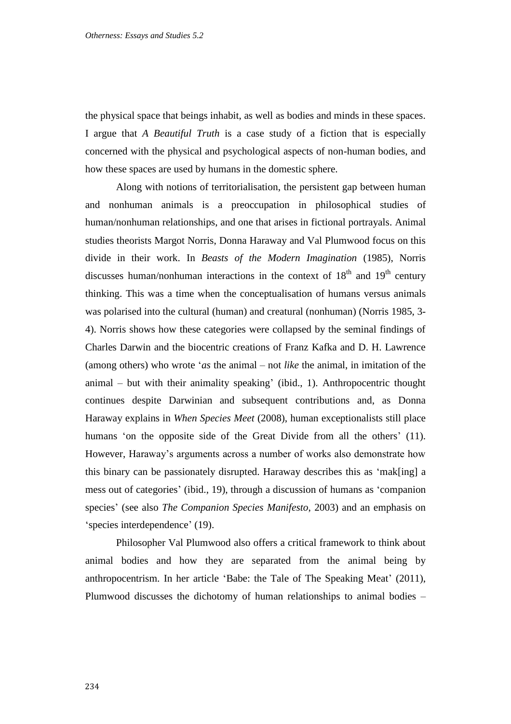the physical space that beings inhabit, as well as bodies and minds in these spaces. I argue that *A Beautiful Truth* is a case study of a fiction that is especially concerned with the physical and psychological aspects of non-human bodies, and how these spaces are used by humans in the domestic sphere.

Along with notions of territorialisation, the persistent gap between human and nonhuman animals is a preoccupation in philosophical studies of human/nonhuman relationships, and one that arises in fictional portrayals. Animal studies theorists Margot Norris, Donna Haraway and Val Plumwood focus on this divide in their work. In *Beasts of the Modern Imagination* (1985), Norris discusses human/nonhuman interactions in the context of  $18<sup>th</sup>$  and  $19<sup>th</sup>$  century thinking. This was a time when the conceptualisation of humans versus animals was polarised into the cultural (human) and creatural (nonhuman) (Norris 1985, 3- 4). Norris shows how these categories were collapsed by the seminal findings of Charles Darwin and the biocentric creations of Franz Kafka and D. H. Lawrence (among others) who wrote '*as* the animal – not *like* the animal, in imitation of the animal – but with their animality speaking' (ibid., 1). Anthropocentric thought continues despite Darwinian and subsequent contributions and, as Donna Haraway explains in *When Species Meet* (2008), human exceptionalists still place humans 'on the opposite side of the Great Divide from all the others' (11). However, Haraway's arguments across a number of works also demonstrate how this binary can be passionately disrupted. Haraway describes this as 'mak[ing] a mess out of categories' (ibid., 19), through a discussion of humans as 'companion species' (see also *The Companion Species Manifesto*, 2003) and an emphasis on 'species interdependence' (19).

Philosopher Val Plumwood also offers a critical framework to think about animal bodies and how they are separated from the animal being by anthropocentrism. In her article 'Babe: the Tale of The Speaking Meat' (2011), Plumwood discusses the dichotomy of human relationships to animal bodies –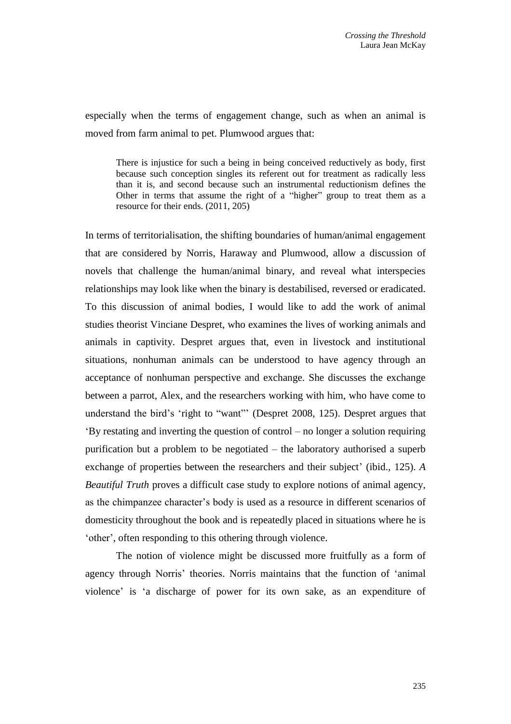especially when the terms of engagement change, such as when an animal is moved from farm animal to pet. Plumwood argues that:

There is injustice for such a being in being conceived reductively as body, first because such conception singles its referent out for treatment as radically less than it is, and second because such an instrumental reductionism defines the Other in terms that assume the right of a "higher" group to treat them as a resource for their ends. (2011, 205)

In terms of territorialisation, the shifting boundaries of human/animal engagement that are considered by Norris, Haraway and Plumwood, allow a discussion of novels that challenge the human/animal binary, and reveal what interspecies relationships may look like when the binary is destabilised, reversed or eradicated. To this discussion of animal bodies, I would like to add the work of animal studies theorist Vinciane Despret, who examines the lives of working animals and animals in captivity. Despret argues that, even in livestock and institutional situations, nonhuman animals can be understood to have agency through an acceptance of nonhuman perspective and exchange. She discusses the exchange between a parrot, Alex, and the researchers working with him, who have come to understand the bird's 'right to "want"' (Despret 2008, 125). Despret argues that 'By restating and inverting the question of control – no longer a solution requiring purification but a problem to be negotiated – the laboratory authorised a superb exchange of properties between the researchers and their subject' (ibid., 125). *A Beautiful Truth* proves a difficult case study to explore notions of animal agency, as the chimpanzee character's body is used as a resource in different scenarios of domesticity throughout the book and is repeatedly placed in situations where he is 'other', often responding to this othering through violence.

The notion of violence might be discussed more fruitfully as a form of agency through Norris' theories. Norris maintains that the function of 'animal violence' is 'a discharge of power for its own sake, as an expenditure of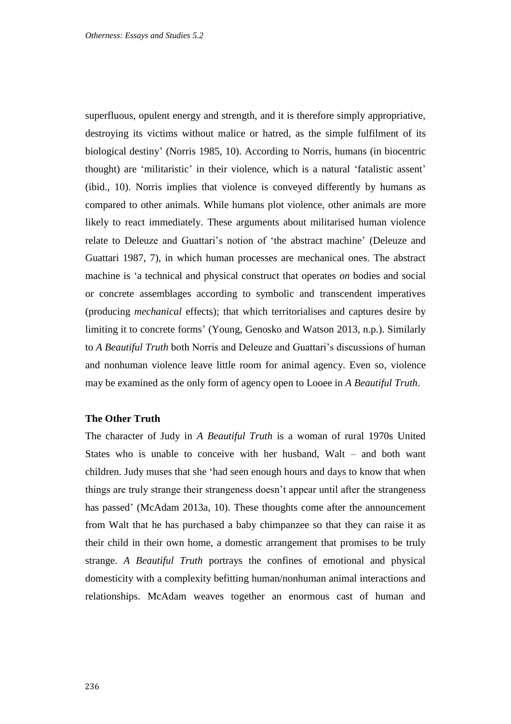superfluous, opulent energy and strength, and it is therefore simply appropriative, destroying its victims without malice or hatred, as the simple fulfilment of its biological destiny' (Norris 1985, 10). According to Norris, humans (in biocentric thought) are 'militaristic' in their violence, which is a natural 'fatalistic assent' (ibid., 10). Norris implies that violence is conveyed differently by humans as compared to other animals. While humans plot violence, other animals are more likely to react immediately. These arguments about militarised human violence relate to Deleuze and Guattari's notion of 'the abstract machine' (Deleuze and Guattari 1987, 7), in which human processes are mechanical ones. The abstract machine is 'a technical and physical construct that operates *on* bodies and social or concrete assemblages according to symbolic and transcendent imperatives (producing *mechanical* effects); that which territorialises and captures desire by limiting it to concrete forms' (Young, Genosko and Watson 2013, n.p.). Similarly to *A Beautiful Truth* both Norris and Deleuze and Guattari's discussions of human and nonhuman violence leave little room for animal agency. Even so, violence may be examined as the only form of agency open to Looee in *A Beautiful Truth*.

### **The Other Truth**

The character of Judy in *A Beautiful Truth* is a woman of rural 1970s United States who is unable to conceive with her husband, Walt – and both want children. Judy muses that she 'had seen enough hours and days to know that when things are truly strange their strangeness doesn't appear until after the strangeness has passed' (McAdam 2013a, 10). These thoughts come after the announcement from Walt that he has purchased a baby chimpanzee so that they can raise it as their child in their own home, a domestic arrangement that promises to be truly strange. *A Beautiful Truth* portrays the confines of emotional and physical domesticity with a complexity befitting human/nonhuman animal interactions and relationships. McAdam weaves together an enormous cast of human and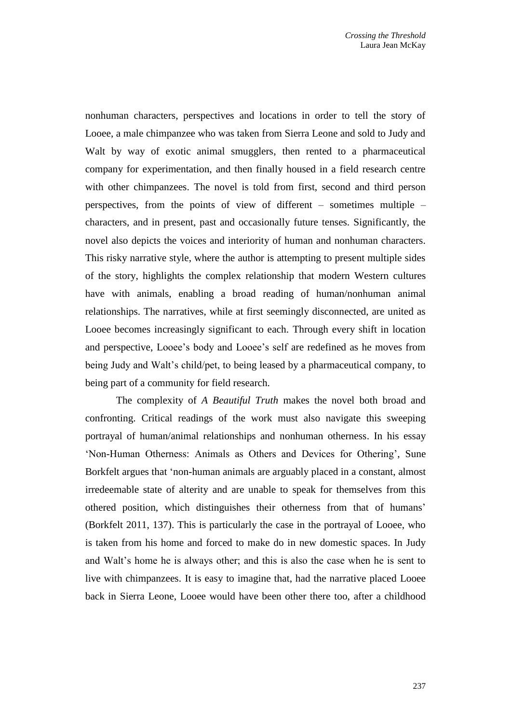nonhuman characters, perspectives and locations in order to tell the story of Looee, a male chimpanzee who was taken from Sierra Leone and sold to Judy and Walt by way of exotic animal smugglers, then rented to a pharmaceutical company for experimentation, and then finally housed in a field research centre with other chimpanzees. The novel is told from first, second and third person perspectives, from the points of view of different – sometimes multiple – characters, and in present, past and occasionally future tenses. Significantly, the novel also depicts the voices and interiority of human and nonhuman characters. This risky narrative style, where the author is attempting to present multiple sides of the story, highlights the complex relationship that modern Western cultures have with animals, enabling a broad reading of human/nonhuman animal relationships. The narratives, while at first seemingly disconnected, are united as Looee becomes increasingly significant to each. Through every shift in location and perspective, Looee's body and Looee's self are redefined as he moves from being Judy and Walt's child/pet, to being leased by a pharmaceutical company, to being part of a community for field research.

The complexity of *A Beautiful Truth* makes the novel both broad and confronting. Critical readings of the work must also navigate this sweeping portrayal of human/animal relationships and nonhuman otherness. In his essay 'Non-Human Otherness: Animals as Others and Devices for Othering', Sune Borkfelt argues that 'non-human animals are arguably placed in a constant, almost irredeemable state of alterity and are unable to speak for themselves from this othered position, which distinguishes their otherness from that of humans' (Borkfelt 2011, 137). This is particularly the case in the portrayal of Looee, who is taken from his home and forced to make do in new domestic spaces. In Judy and Walt's home he is always other; and this is also the case when he is sent to live with chimpanzees. It is easy to imagine that, had the narrative placed Looee back in Sierra Leone, Looee would have been other there too, after a childhood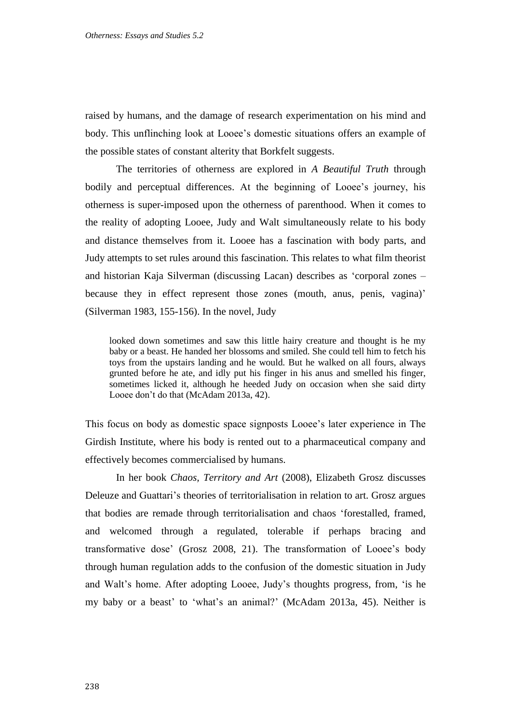raised by humans, and the damage of research experimentation on his mind and body. This unflinching look at Looee's domestic situations offers an example of the possible states of constant alterity that Borkfelt suggests.

The territories of otherness are explored in *A Beautiful Truth* through bodily and perceptual differences. At the beginning of Looee's journey, his otherness is super-imposed upon the otherness of parenthood. When it comes to the reality of adopting Looee, Judy and Walt simultaneously relate to his body and distance themselves from it. Looee has a fascination with body parts, and Judy attempts to set rules around this fascination. This relates to what film theorist and historian Kaja Silverman (discussing Lacan) describes as 'corporal zones – because they in effect represent those zones (mouth, anus, penis, vagina)' (Silverman 1983, 155-156). In the novel, Judy

looked down sometimes and saw this little hairy creature and thought is he my baby or a beast. He handed her blossoms and smiled. She could tell him to fetch his toys from the upstairs landing and he would. But he walked on all fours, always grunted before he ate, and idly put his finger in his anus and smelled his finger, sometimes licked it, although he heeded Judy on occasion when she said dirty Looee don't do that (McAdam 2013a, 42).

This focus on body as domestic space signposts Looee's later experience in The Girdish Institute, where his body is rented out to a pharmaceutical company and effectively becomes commercialised by humans.

In her book *Chaos, Territory and Art* (2008), Elizabeth Grosz discusses Deleuze and Guattari's theories of territorialisation in relation to art. Grosz argues that bodies are remade through territorialisation and chaos 'forestalled, framed, and welcomed through a regulated, tolerable if perhaps bracing and transformative dose' (Grosz 2008, 21). The transformation of Looee's body through human regulation adds to the confusion of the domestic situation in Judy and Walt's home. After adopting Looee, Judy's thoughts progress, from, 'is he my baby or a beast' to 'what's an animal?' (McAdam 2013a, 45). Neither is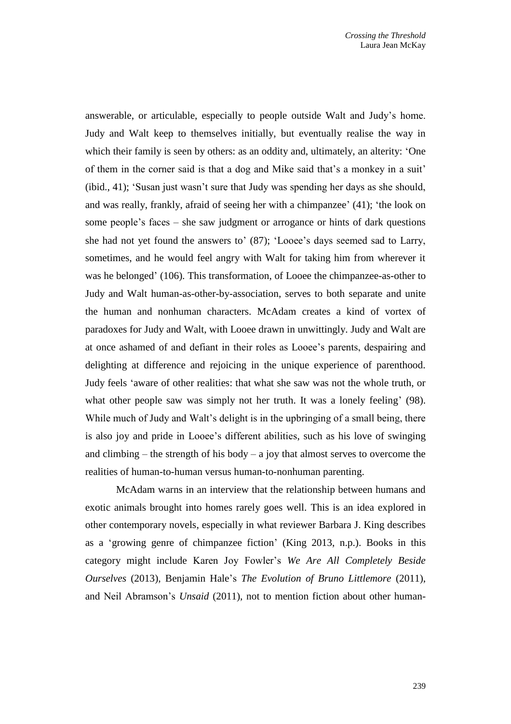answerable, or articulable, especially to people outside Walt and Judy's home. Judy and Walt keep to themselves initially, but eventually realise the way in which their family is seen by others: as an oddity and, ultimately, an alterity: 'One of them in the corner said is that a dog and Mike said that's a monkey in a suit' (ibid., 41); 'Susan just wasn't sure that Judy was spending her days as she should, and was really, frankly, afraid of seeing her with a chimpanzee' (41); 'the look on some people's faces – she saw judgment or arrogance or hints of dark questions she had not yet found the answers to' (87); 'Looee's days seemed sad to Larry, sometimes, and he would feel angry with Walt for taking him from wherever it was he belonged' (106). This transformation, of Looee the chimpanzee-as-other to Judy and Walt human-as-other-by-association, serves to both separate and unite the human and nonhuman characters. McAdam creates a kind of vortex of paradoxes for Judy and Walt, with Looee drawn in unwittingly. Judy and Walt are at once ashamed of and defiant in their roles as Looee's parents, despairing and delighting at difference and rejoicing in the unique experience of parenthood. Judy feels 'aware of other realities: that what she saw was not the whole truth, or what other people saw was simply not her truth. It was a lonely feeling' (98). While much of Judy and Walt's delight is in the upbringing of a small being, there is also joy and pride in Looee's different abilities, such as his love of swinging and climbing – the strength of his body – a joy that almost serves to overcome the realities of human-to-human versus human-to-nonhuman parenting.

McAdam warns in an interview that the relationship between humans and exotic animals brought into homes rarely goes well. This is an idea explored in other contemporary novels, especially in what reviewer Barbara J. King describes as a 'growing genre of chimpanzee fiction' (King 2013, n.p.). Books in this category might include Karen Joy Fowler's *[We Are All Completely Beside](http://www.amazon.com/gp/product/0399162097/ref=as_li_qf_sp_asin_tl?ie=UTF8&camp=1789&creative=9325&creativeASIN=0399162097&linkCode=as2&tag=thewaspos09-20)  [Ourselves](http://www.amazon.com/gp/product/0399162097/ref=as_li_qf_sp_asin_tl?ie=UTF8&camp=1789&creative=9325&creativeASIN=0399162097&linkCode=as2&tag=thewaspos09-20)* (2013)*,* [Benjamin Hale'](http://www.washingtonpost.com/wp-dyn/content/article/2011/02/08/AR2011020806038.html)s *[The Evolution of Bruno Littlemore](http://www.amazon.com/gp/product/0446571571/ref=as_li_qf_sp_asin_tl?ie=UTF8&camp=1789&creative=9325&creativeASIN=0446571571&linkCode=as2&tag=thewaspos09-20)* (2011), and Neil Abramson's *[Unsaid](http://www.amazon.com/gp/product/1599954095/ref=as_li_qf_sp_asin_tl?ie=UTF8&camp=1789&creative=9325&creativeASIN=1599954095&linkCode=as2&tag=thewaspos09-20)* (2011), not to mention fiction about other human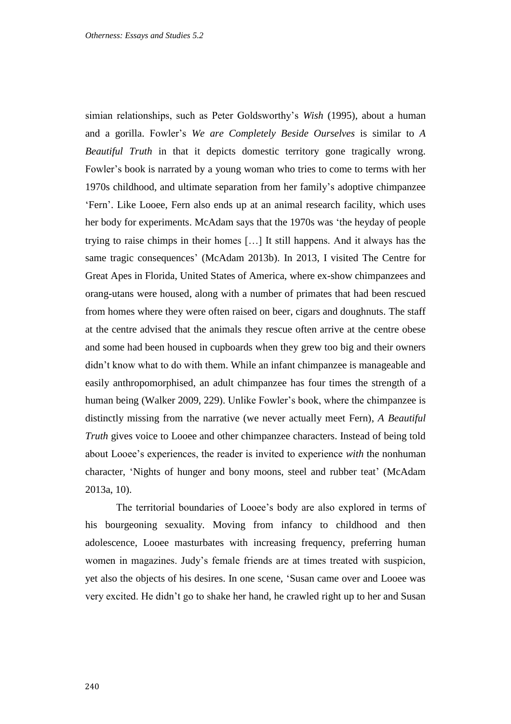simian relationships, such as Peter Goldsworthy's *Wish* (1995), about a human and a gorilla. Fowler's *We are Completely Beside Ourselves* is similar to *A Beautiful Truth* in that it depicts domestic territory gone tragically wrong. Fowler's book is narrated by a young woman who tries to come to terms with her 1970s childhood, and ultimate separation from her family's adoptive chimpanzee 'Fern'. Like Looee, Fern also ends up at an animal research facility, which uses her body for experiments. McAdam says that the 1970s was 'the heyday of people trying to raise chimps in their homes […] It still happens. And it always has the same tragic consequences' (McAdam 2013b). In 2013, I visited The Centre for Great Apes in Florida, United States of America, where ex-show chimpanzees and orang-utans were housed, along with a number of primates that had been rescued from homes where they were often raised on beer, cigars and doughnuts. The staff at the centre advised that the animals they rescue often arrive at the centre obese and some had been housed in cupboards when they grew too big and their owners didn't know what to do with them. While an infant chimpanzee is manageable and easily anthropomorphised, an adult chimpanzee has four times the strength of a human being (Walker 2009, 229). Unlike Fowler's book, where the chimpanzee is distinctly missing from the narrative (we never actually meet Fern), *A Beautiful Truth* gives voice to Looee and other chimpanzee characters. Instead of being told about Looee's experiences, the reader is invited to experience *with* the nonhuman character, 'Nights of hunger and bony moons, steel and rubber teat' (McAdam 2013a, 10).

The territorial boundaries of Looee's body are also explored in terms of his bourgeoning sexuality. Moving from infancy to childhood and then adolescence, Looee masturbates with increasing frequency, preferring human women in magazines. Judy's female friends are at times treated with suspicion, yet also the objects of his desires. In one scene, 'Susan came over and Looee was very excited. He didn't go to shake her hand, he crawled right up to her and Susan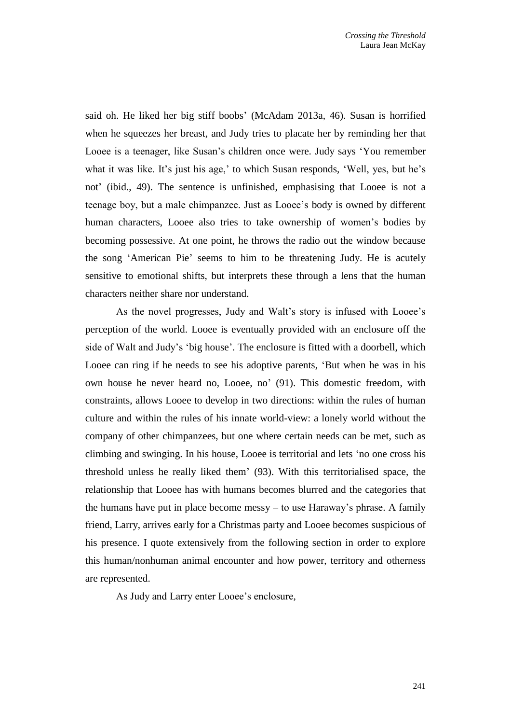said oh. He liked her big stiff boobs' (McAdam 2013a, 46). Susan is horrified when he squeezes her breast, and Judy tries to placate her by reminding her that Looee is a teenager, like Susan's children once were. Judy says 'You remember what it was like. It's just his age,' to which Susan responds, 'Well, yes, but he's not' (ibid., 49). The sentence is unfinished, emphasising that Looee is not a teenage boy, but a male chimpanzee. Just as Looee's body is owned by different human characters, Looee also tries to take ownership of women's bodies by becoming possessive. At one point, he throws the radio out the window because the song 'American Pie' seems to him to be threatening Judy. He is acutely sensitive to emotional shifts, but interprets these through a lens that the human characters neither share nor understand.

As the novel progresses, Judy and Walt's story is infused with Looee's perception of the world. Looee is eventually provided with an enclosure off the side of Walt and Judy's 'big house'. The enclosure is fitted with a doorbell, which Looee can ring if he needs to see his adoptive parents, 'But when he was in his own house he never heard no, Looee, no' (91). This domestic freedom, with constraints, allows Looee to develop in two directions: within the rules of human culture and within the rules of his innate world-view: a lonely world without the company of other chimpanzees, but one where certain needs can be met, such as climbing and swinging. In his house, Looee is territorial and lets 'no one cross his threshold unless he really liked them' (93). With this territorialised space, the relationship that Looee has with humans becomes blurred and the categories that the humans have put in place become messy – to use Haraway's phrase. A family friend, Larry, arrives early for a Christmas party and Looee becomes suspicious of his presence. I quote extensively from the following section in order to explore this human/nonhuman animal encounter and how power, territory and otherness are represented.

As Judy and Larry enter Looee's enclosure,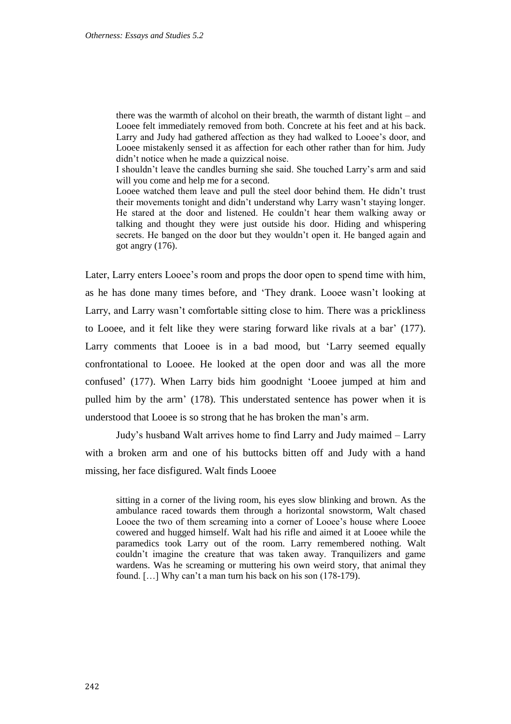there was the warmth of alcohol on their breath, the warmth of distant light – and Looee felt immediately removed from both. Concrete at his feet and at his back. Larry and Judy had gathered affection as they had walked to Looee's door, and Looee mistakenly sensed it as affection for each other rather than for him. Judy didn't notice when he made a quizzical noise.

I shouldn't leave the candles burning she said. She touched Larry's arm and said will you come and help me for a second.

Looee watched them leave and pull the steel door behind them. He didn't trust their movements tonight and didn't understand why Larry wasn't staying longer. He stared at the door and listened. He couldn't hear them walking away or talking and thought they were just outside his door. Hiding and whispering secrets. He banged on the door but they wouldn't open it. He banged again and got angry (176).

Later, Larry enters Looee's room and props the door open to spend time with him, as he has done many times before, and 'They drank. Looee wasn't looking at Larry, and Larry wasn't comfortable sitting close to him. There was a prickliness to Looee, and it felt like they were staring forward like rivals at a bar' (177). Larry comments that Looee is in a bad mood, but 'Larry seemed equally confrontational to Looee. He looked at the open door and was all the more confused' (177). When Larry bids him goodnight 'Looee jumped at him and pulled him by the arm' (178). This understated sentence has power when it is understood that Looee is so strong that he has broken the man's arm.

Judy's husband Walt arrives home to find Larry and Judy maimed – Larry with a broken arm and one of his buttocks bitten off and Judy with a hand missing, her face disfigured. Walt finds Looee

sitting in a corner of the living room, his eyes slow blinking and brown. As the ambulance raced towards them through a horizontal snowstorm, Walt chased Looee the two of them screaming into a corner of Looee's house where Looee cowered and hugged himself. Walt had his rifle and aimed it at Looee while the paramedics took Larry out of the room. Larry remembered nothing. Walt couldn't imagine the creature that was taken away. Tranquilizers and game wardens. Was he screaming or muttering his own weird story, that animal they found. […] Why can't a man turn his back on his son (178-179).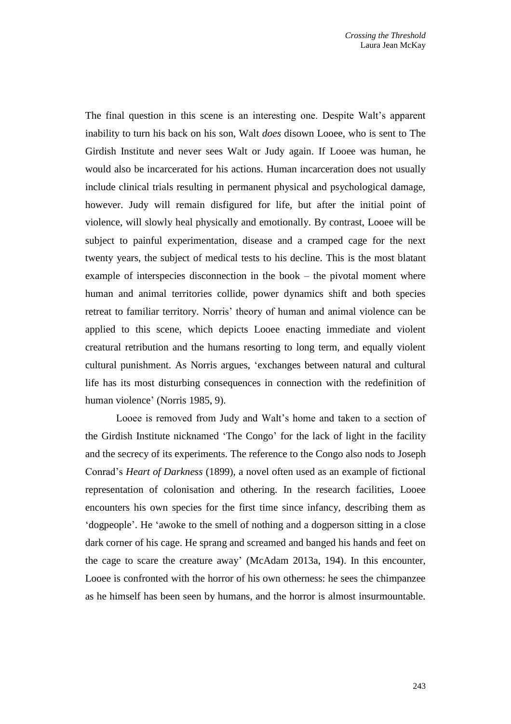The final question in this scene is an interesting one. Despite Walt's apparent inability to turn his back on his son, Walt *does* disown Looee, who is sent to The Girdish Institute and never sees Walt or Judy again. If Looee was human, he would also be incarcerated for his actions. Human incarceration does not usually include clinical trials resulting in permanent physical and psychological damage, however. Judy will remain disfigured for life, but after the initial point of violence, will slowly heal physically and emotionally. By contrast, Looee will be subject to painful experimentation, disease and a cramped cage for the next twenty years, the subject of medical tests to his decline. This is the most blatant example of interspecies disconnection in the book – the pivotal moment where human and animal territories collide, power dynamics shift and both species retreat to familiar territory. Norris' theory of human and animal violence can be applied to this scene, which depicts Looee enacting immediate and violent creatural retribution and the humans resorting to long term, and equally violent cultural punishment. As Norris argues, 'exchanges between natural and cultural life has its most disturbing consequences in connection with the redefinition of human violence' (Norris 1985, 9).

Looee is removed from Judy and Walt's home and taken to a section of the Girdish Institute nicknamed 'The Congo' for the lack of light in the facility and the secrecy of its experiments. The reference to the Congo also nods to Joseph Conrad's *Heart of Darkness* (1899), a novel often used as an example of fictional representation of colonisation and othering. In the research facilities, Looee encounters his own species for the first time since infancy, describing them as 'dogpeople'. He 'awoke to the smell of nothing and a dogperson sitting in a close dark corner of his cage. He sprang and screamed and banged his hands and feet on the cage to scare the creature away' (McAdam 2013a, 194). In this encounter, Looee is confronted with the horror of his own otherness: he sees the chimpanzee as he himself has been seen by humans, and the horror is almost insurmountable.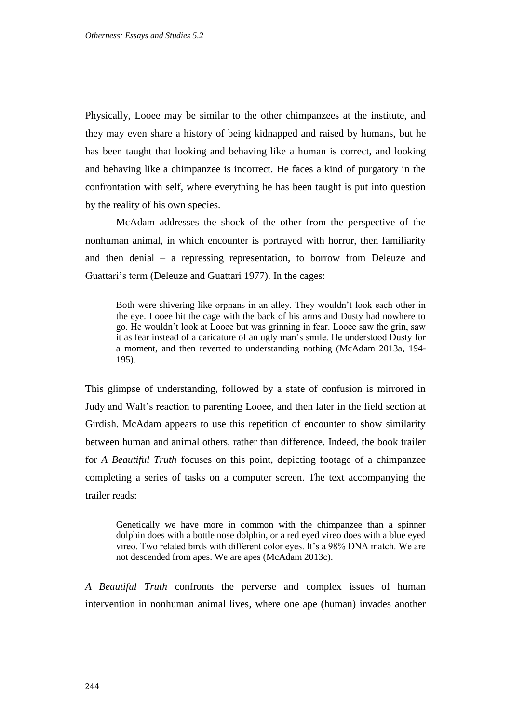Physically, Looee may be similar to the other chimpanzees at the institute, and they may even share a history of being kidnapped and raised by humans, but he has been taught that looking and behaving like a human is correct, and looking and behaving like a chimpanzee is incorrect. He faces a kind of purgatory in the confrontation with self, where everything he has been taught is put into question by the reality of his own species.

McAdam addresses the shock of the other from the perspective of the nonhuman animal, in which encounter is portrayed with horror, then familiarity and then denial – a repressing representation, to borrow from Deleuze and Guattari's term (Deleuze and Guattari 1977). In the cages:

Both were shivering like orphans in an alley. They wouldn't look each other in the eye. Looee hit the cage with the back of his arms and Dusty had nowhere to go. He wouldn't look at Looee but was grinning in fear. Looee saw the grin, saw it as fear instead of a caricature of an ugly man's smile. He understood Dusty for a moment, and then reverted to understanding nothing (McAdam 2013a, 194- 195).

This glimpse of understanding, followed by a state of confusion is mirrored in Judy and Walt's reaction to parenting Looee, and then later in the field section at Girdish. McAdam appears to use this repetition of encounter to show similarity between human and animal others, rather than difference. Indeed, the book trailer for *A Beautiful Truth* focuses on this point, depicting footage of a chimpanzee completing a series of tasks on a computer screen. The text accompanying the trailer reads:

Genetically we have more in common with the chimpanzee than a spinner dolphin does with a bottle nose dolphin, or a red eyed vireo does with a blue eyed vireo. Two related birds with different color eyes. It's a 98% DNA match. We are not descended from apes. We are apes (McAdam 2013c).

*A Beautiful Truth* confronts the perverse and complex issues of human intervention in nonhuman animal lives, where one ape (human) invades another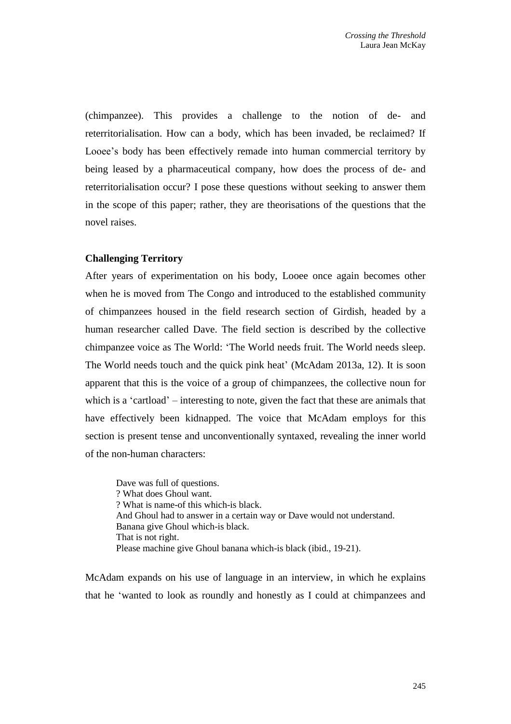(chimpanzee). This provides a challenge to the notion of de- and reterritorialisation. How can a body, which has been invaded, be reclaimed? If Looee's body has been effectively remade into human commercial territory by being leased by a pharmaceutical company, how does the process of de- and reterritorialisation occur? I pose these questions without seeking to answer them in the scope of this paper; rather, they are theorisations of the questions that the novel raises.

## **Challenging Territory**

After years of experimentation on his body, Looee once again becomes other when he is moved from The Congo and introduced to the established community of chimpanzees housed in the field research section of Girdish, headed by a human researcher called Dave. The field section is described by the collective chimpanzee voice as The World: 'The World needs fruit. The World needs sleep. The World needs touch and the quick pink heat' (McAdam 2013a, 12). It is soon apparent that this is the voice of a group of chimpanzees, the collective noun for which is a 'cartload' – interesting to note, given the fact that these are animals that have effectively been kidnapped. The voice that McAdam employs for this section is present tense and unconventionally syntaxed, revealing the inner world of the non-human characters:

Dave was full of questions. ? What does Ghoul want. ? What is name-of this which-is black. And Ghoul had to answer in a certain way or Dave would not understand. Banana give Ghoul which-is black. That is not right. Please machine give Ghoul banana which-is black (ibid., 19-21).

McAdam expands on his use of language in an interview, in which he explains that he 'wanted to look as roundly and honestly as I could at chimpanzees and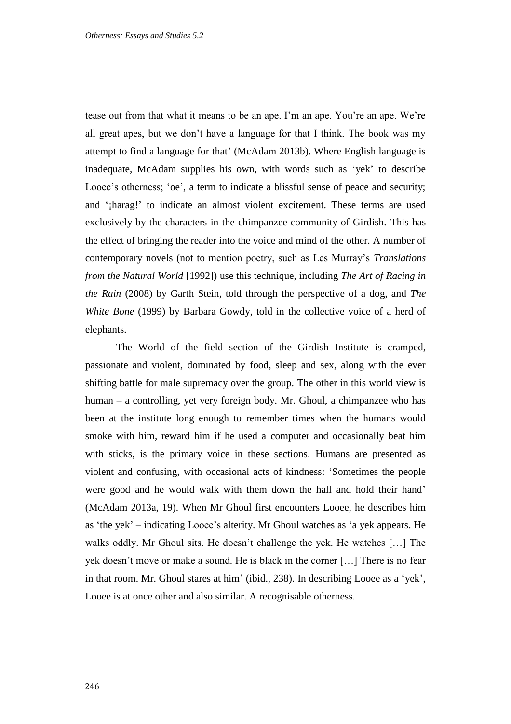tease out from that what it means to be an ape. I'm an ape. You're an ape. We're all great apes, but we don't have a language for that I think. The book was my attempt to find a language for that' (McAdam 2013b). Where English language is inadequate, McAdam supplies his own, with words such as 'yek' to describe Looee's otherness; 'oe', a term to indicate a blissful sense of peace and security; and '¡harag!' to indicate an almost violent excitement. These terms are used exclusively by the characters in the chimpanzee community of Girdish. This has the effect of bringing the reader into the voice and mind of the other. A number of contemporary novels (not to mention poetry, such as Les Murray's *Translations from the Natural World* [1992]) use this technique, including *The Art of Racing in the Rain* (2008) by Garth Stein, told through the perspective of a dog, and *The White Bone* (1999) by Barbara Gowdy*,* told in the collective voice of a herd of elephants.

The World of the field section of the Girdish Institute is cramped, passionate and violent, dominated by food, sleep and sex, along with the ever shifting battle for male supremacy over the group. The other in this world view is human – a controlling, yet very foreign body. Mr. Ghoul, a chimpanzee who has been at the institute long enough to remember times when the humans would smoke with him, reward him if he used a computer and occasionally beat him with sticks, is the primary voice in these sections. Humans are presented as violent and confusing, with occasional acts of kindness: 'Sometimes the people were good and he would walk with them down the hall and hold their hand' (McAdam 2013a, 19). When Mr Ghoul first encounters Looee, he describes him as 'the yek' – indicating Looee's alterity. Mr Ghoul watches as 'a yek appears. He walks oddly. Mr Ghoul sits. He doesn't challenge the yek. He watches […] The yek doesn't move or make a sound. He is black in the corner […] There is no fear in that room. Mr. Ghoul stares at him' (ibid., 238). In describing Looee as a 'yek', Looee is at once other and also similar. A recognisable otherness.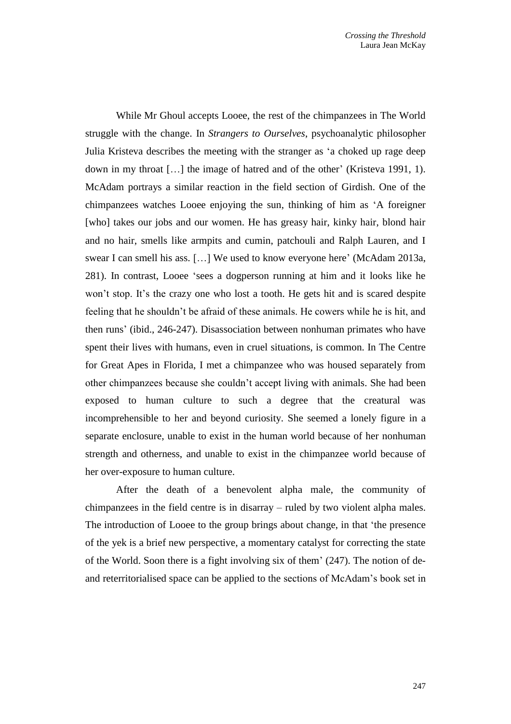While Mr Ghoul accepts Looee, the rest of the chimpanzees in The World struggle with the change. In *Strangers to Ourselves*, psychoanalytic philosopher Julia Kristeva describes the meeting with the stranger as 'a choked up rage deep down in my throat […] the image of hatred and of the other' (Kristeva 1991, 1). McAdam portrays a similar reaction in the field section of Girdish. One of the chimpanzees watches Looee enjoying the sun, thinking of him as 'A foreigner [who] takes our jobs and our women. He has greasy hair, kinky hair, blond hair and no hair, smells like armpits and cumin, patchouli and Ralph Lauren, and I swear I can smell his ass. […] We used to know everyone here' (McAdam 2013a, 281). In contrast, Looee 'sees a dogperson running at him and it looks like he won't stop. It's the crazy one who lost a tooth. He gets hit and is scared despite feeling that he shouldn't be afraid of these animals. He cowers while he is hit, and then runs' (ibid., 246-247). Disassociation between nonhuman primates who have spent their lives with humans, even in cruel situations, is common. In The Centre for Great Apes in Florida, I met a chimpanzee who was housed separately from other chimpanzees because she couldn't accept living with animals. She had been exposed to human culture to such a degree that the creatural was incomprehensible to her and beyond curiosity. She seemed a lonely figure in a separate enclosure, unable to exist in the human world because of her nonhuman strength and otherness, and unable to exist in the chimpanzee world because of her over-exposure to human culture.

After the death of a benevolent alpha male, the community of chimpanzees in the field centre is in disarray – ruled by two violent alpha males. The introduction of Looee to the group brings about change, in that 'the presence of the yek is a brief new perspective, a momentary catalyst for correcting the state of the World. Soon there is a fight involving six of them' (247). The notion of deand reterritorialised space can be applied to the sections of McAdam's book set in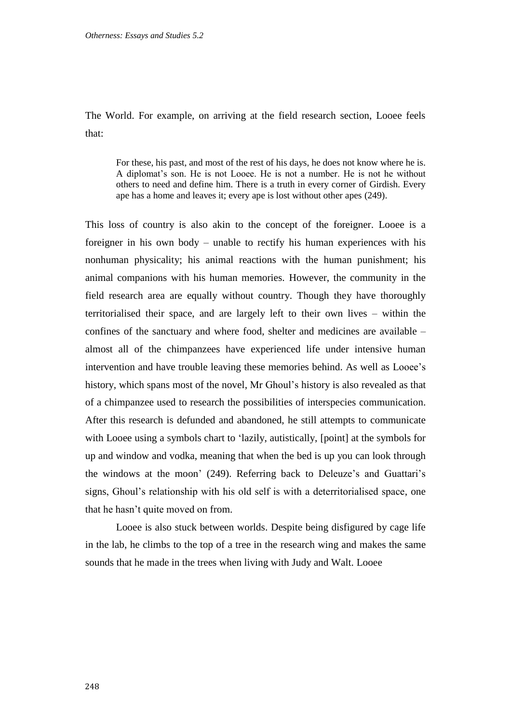The World. For example, on arriving at the field research section, Looee feels that:

For these, his past, and most of the rest of his days, he does not know where he is. A diplomat's son. He is not Looee. He is not a number. He is not he without others to need and define him. There is a truth in every corner of Girdish. Every ape has a home and leaves it; every ape is lost without other apes (249).

This loss of country is also akin to the concept of the foreigner. Looee is a foreigner in his own body – unable to rectify his human experiences with his nonhuman physicality; his animal reactions with the human punishment; his animal companions with his human memories. However, the community in the field research area are equally without country. Though they have thoroughly territorialised their space, and are largely left to their own lives – within the confines of the sanctuary and where food, shelter and medicines are available – almost all of the chimpanzees have experienced life under intensive human intervention and have trouble leaving these memories behind. As well as Looee's history, which spans most of the novel, Mr Ghoul's history is also revealed as that of a chimpanzee used to research the possibilities of interspecies communication. After this research is defunded and abandoned, he still attempts to communicate with Looee using a symbols chart to 'lazily, autistically, [point] at the symbols for up and window and vodka, meaning that when the bed is up you can look through the windows at the moon' (249). Referring back to Deleuze's and Guattari's signs, Ghoul's relationship with his old self is with a deterritorialised space, one that he hasn't quite moved on from.

Looee is also stuck between worlds. Despite being disfigured by cage life in the lab, he climbs to the top of a tree in the research wing and makes the same sounds that he made in the trees when living with Judy and Walt. Looee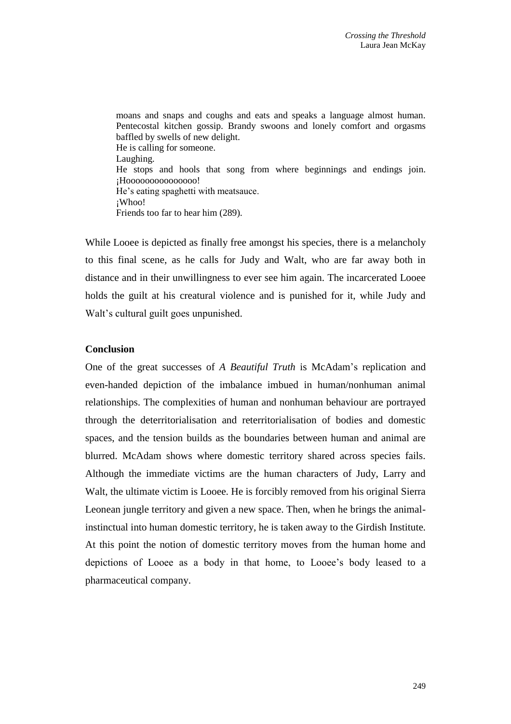moans and snaps and coughs and eats and speaks a language almost human. Pentecostal kitchen gossip. Brandy swoons and lonely comfort and orgasms baffled by swells of new delight. He is calling for someone. Laughing. He stops and hools that song from where beginnings and endings join. ¡Hooooooooooooooo! He's eating spaghetti with meatsauce. ¡Whoo! Friends too far to hear him (289).

While Looee is depicted as finally free amongst his species, there is a melancholy to this final scene, as he calls for Judy and Walt, who are far away both in distance and in their unwillingness to ever see him again. The incarcerated Looee holds the guilt at his creatural violence and is punished for it, while Judy and Walt's cultural guilt goes unpunished.

### **Conclusion**

One of the great successes of *A Beautiful Truth* is McAdam's replication and even-handed depiction of the imbalance imbued in human/nonhuman animal relationships. The complexities of human and nonhuman behaviour are portrayed through the deterritorialisation and reterritorialisation of bodies and domestic spaces, and the tension builds as the boundaries between human and animal are blurred. McAdam shows where domestic territory shared across species fails. Although the immediate victims are the human characters of Judy, Larry and Walt, the ultimate victim is Looee. He is forcibly removed from his original Sierra Leonean jungle territory and given a new space. Then, when he brings the animalinstinctual into human domestic territory, he is taken away to the Girdish Institute. At this point the notion of domestic territory moves from the human home and depictions of Looee as a body in that home, to Looee's body leased to a pharmaceutical company.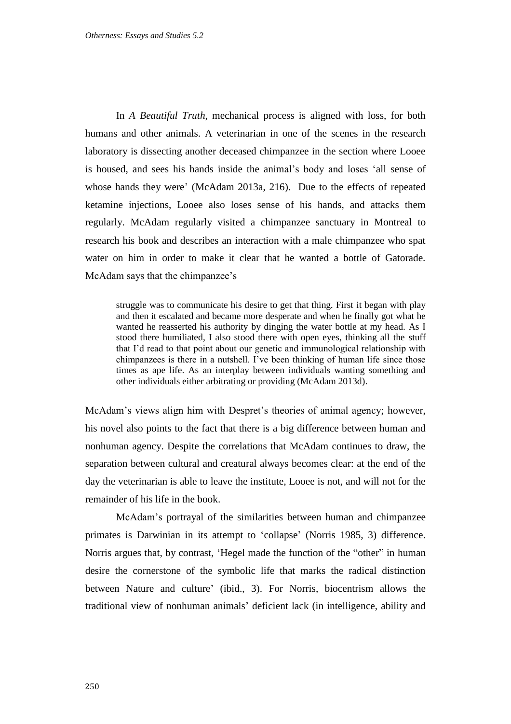In *A Beautiful Truth*, mechanical process is aligned with loss, for both humans and other animals. A veterinarian in one of the scenes in the research laboratory is dissecting another deceased chimpanzee in the section where Looee is housed, and sees his hands inside the animal's body and loses 'all sense of whose hands they were' (McAdam 2013a, 216). Due to the effects of repeated ketamine injections, Looee also loses sense of his hands, and attacks them regularly. McAdam regularly visited a chimpanzee sanctuary in Montreal to research his book and describes an interaction with a male chimpanzee who spat water on him in order to make it clear that he wanted a bottle of Gatorade. McAdam says that the chimpanzee's

struggle was to communicate his desire to get that thing. First it began with play and then it escalated and became more desperate and when he finally got what he wanted he reasserted his authority by dinging the water bottle at my head. As I stood there humiliated, I also stood there with open eyes, thinking all the stuff that I'd read to that point about our genetic and immunological relationship with chimpanzees is there in a nutshell. I've been thinking of human life since those times as ape life. As an interplay between individuals wanting something and other individuals either arbitrating or providing (McAdam 2013d).

McAdam's views align him with Despret's theories of animal agency; however, his novel also points to the fact that there is a big difference between human and nonhuman agency. Despite the correlations that McAdam continues to draw, the separation between cultural and creatural always becomes clear: at the end of the day the veterinarian is able to leave the institute, Looee is not, and will not for the remainder of his life in the book.

McAdam's portrayal of the similarities between human and chimpanzee primates is Darwinian in its attempt to 'collapse' (Norris 1985, 3) difference. Norris argues that, by contrast, 'Hegel made the function of the "other" in human desire the cornerstone of the symbolic life that marks the radical distinction between Nature and culture' (ibid., 3). For Norris, biocentrism allows the traditional view of nonhuman animals' deficient lack (in intelligence, ability and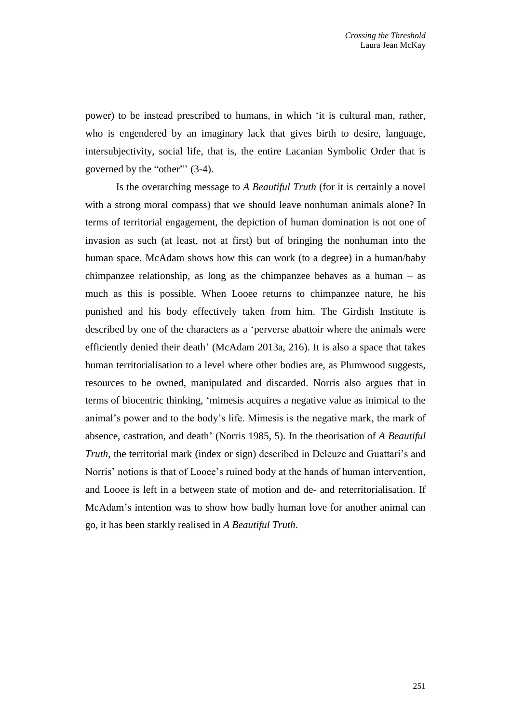power) to be instead prescribed to humans, in which 'it is cultural man, rather, who is engendered by an imaginary lack that gives birth to desire, language, intersubjectivity, social life, that is, the entire Lacanian Symbolic Order that is governed by the "other"' (3-4).

Is the overarching message to *A Beautiful Truth* (for it is certainly a novel with a strong moral compass) that we should leave nonhuman animals alone? In terms of territorial engagement, the depiction of human domination is not one of invasion as such (at least, not at first) but of bringing the nonhuman into the human space. McAdam shows how this can work (to a degree) in a human/baby chimpanzee relationship, as long as the chimpanzee behaves as a human – as much as this is possible. When Looee returns to chimpanzee nature, he his punished and his body effectively taken from him. The Girdish Institute is described by one of the characters as a 'perverse abattoir where the animals were efficiently denied their death' (McAdam 2013a, 216). It is also a space that takes human territorialisation to a level where other bodies are, as Plumwood suggests, resources to be owned, manipulated and discarded. Norris also argues that in terms of biocentric thinking, 'mimesis acquires a negative value as inimical to the animal's power and to the body's life. Mimesis is the negative mark, the mark of absence, castration, and death' (Norris 1985, 5). In the theorisation of *A Beautiful Truth*, the territorial mark (index or sign) described in Deleuze and Guattari's and Norris' notions is that of Looee's ruined body at the hands of human intervention, and Looee is left in a between state of motion and de- and reterritorialisation. If McAdam's intention was to show how badly human love for another animal can go, it has been starkly realised in *A Beautiful Truth*.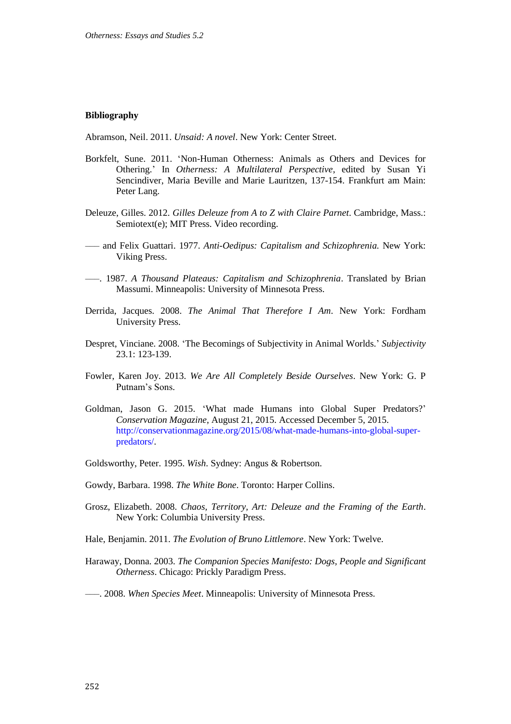#### **Bibliography**

Abramson, Neil. 2011. *Unsaid: A novel*. New York: Center Street.

- Borkfelt, Sune. 2011. 'Non-Human Otherness: Animals as Others and Devices for Othering.' In *Otherness: A Multilateral Perspective*, edited by Susan Yi Sencindiver, Maria Beville and Marie Lauritzen, 137-154. Frankfurt am Main: Peter Lang.
- Deleuze, Gilles. 2012. *Gilles Deleuze from A to Z with Claire Parnet*. Cambridge, Mass.: Semiotext(e); MIT Press. Video recording.
- ––– and Felix Guattari. 1977. *Anti-Oedipus: Capitalism and Schizophrenia.* New York: Viking Press.
- –––. 1987. *A Thousand Plateaus: Capitalism and Schizophrenia*. Translated by Brian Massumi. Minneapolis: University of Minnesota Press.
- Derrida, Jacques. 2008. *The Animal That Therefore I Am*. New York: Fordham University Press.
- Despret, Vinciane. 2008. 'The Becomings of Subjectivity in Animal Worlds.' *Subjectivity*  23.1: 123-139.
- Fowler, Karen Joy. 2013. *We Are All Completely Beside Ourselves*. New York: G. P Putnam's Sons.
- Goldman, Jason G. 2015. 'What made Humans into Global Super Predators?' *Conservation Magazine,* August 21, 2015. Accessed December 5, 2015. [http://conservationmagazine.org/2015/08/what-made-humans-into-global-super](http://conservationmagazine.org/2015/08/what-made-humans-into-global-super-predators/)[predators/.](http://conservationmagazine.org/2015/08/what-made-humans-into-global-super-predators/)
- Goldsworthy, Peter. 1995. *Wish*. Sydney: Angus & Robertson.
- Gowdy, Barbara. 1998. *The White Bone*. Toronto: Harper Collins.
- Grosz, Elizabeth. 2008. *Chaos, Territory, Art: Deleuze and the Framing of the Earth*. New York: Columbia University Press.
- Hale, Benjamin. 2011. *The Evolution of Bruno Littlemore*. New York: Twelve.
- Haraway, Donna. 2003. *The Companion Species Manifesto: Dogs, People and Significant Otherness*. Chicago: Prickly Paradigm Press.
- –––. 2008. *When Species Meet*. Minneapolis: University of Minnesota Press.